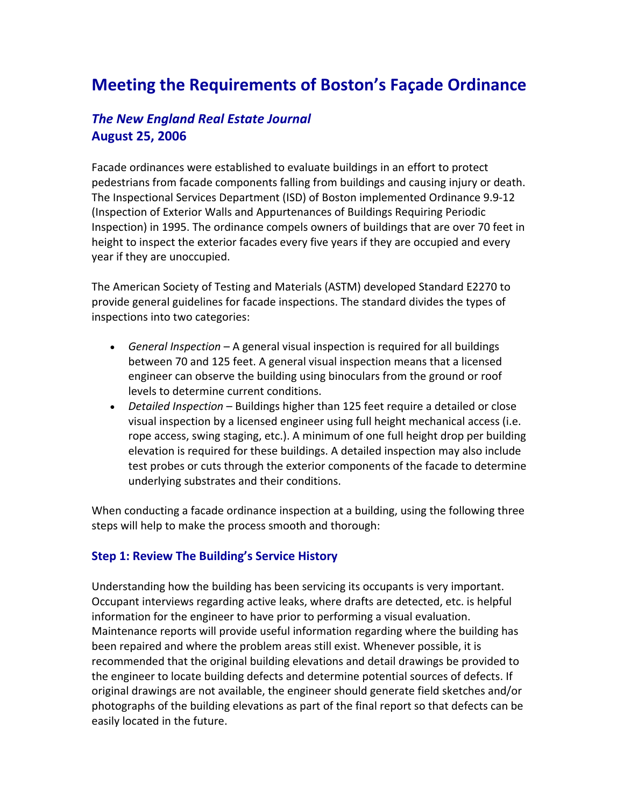# **Meeting the Requirements of Boston's Façade Ordinance**

# *The New England Real Estate Journal* **August 25, 2006**

Facade ordinances were established to evaluate buildings in an effort to protect pedestrians from facade components falling from buildings and causing injury or death. The Inspectional Services Department (ISD) of Boston implemented Ordinance 9.9‐12 (Inspection of Exterior Walls and Appurtenances of Buildings Requiring Periodic Inspection) in 1995. The ordinance compels owners of buildings that are over 70 feet in height to inspect the exterior facades every five years if they are occupied and every year if they are unoccupied.

The American Society of Testing and Materials (ASTM) developed Standard E2270 to provide general guidelines for facade inspections. The standard divides the types of inspections into two categories:

- *General Inspection* A general visual inspection is required for all buildings between 70 and 125 feet. A general visual inspection means that a licensed engineer can observe the building using binoculars from the ground or roof levels to determine current conditions.
- *Detailed Inspection* Buildings higher than 125 feet require a detailed or close visual inspection by a licensed engineer using full height mechanical access (i.e. rope access, swing staging, etc.). A minimum of one full height drop per building elevation is required for these buildings. A detailed inspection may also include test probes or cuts through the exterior components of the facade to determine underlying substrates and their conditions.

When conducting a facade ordinance inspection at a building, using the following three steps will help to make the process smooth and thorough:

#### **Step 1: Review The Building's Service History**

Understanding how the building has been servicing its occupants is very important. Occupant interviews regarding active leaks, where drafts are detected, etc. is helpful information for the engineer to have prior to performing a visual evaluation. Maintenance reports will provide useful information regarding where the building has been repaired and where the problem areas still exist. Whenever possible, it is recommended that the original building elevations and detail drawings be provided to the engineer to locate building defects and determine potential sources of defects. If original drawings are not available, the engineer should generate field sketches and/or photographs of the building elevations as part of the final report so that defects can be easily located in the future.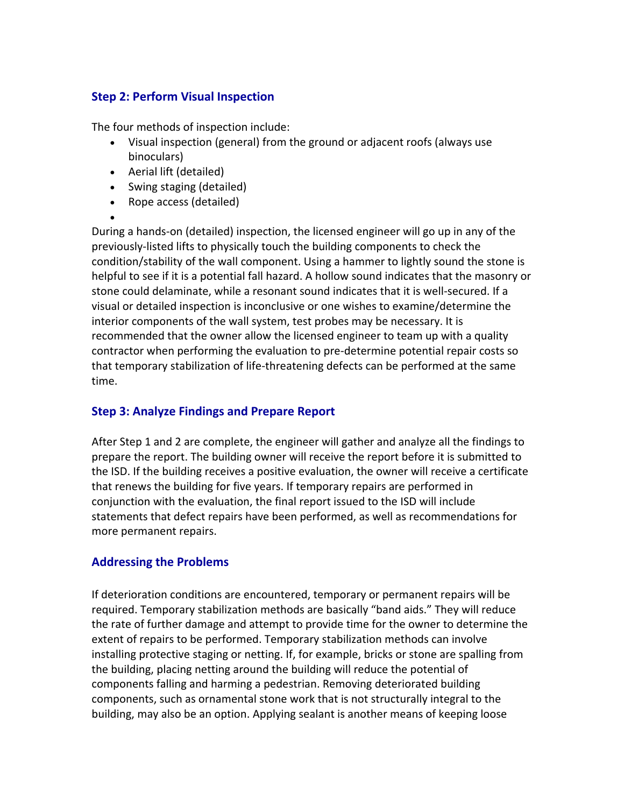### **Step 2: Perform Visual Inspection**

The four methods of inspection include:

- Visual inspection (general) from the ground or adjacent roofs (always use binoculars)
- Aerial lift (detailed)

 $\bullet$ 

- Swing staging (detailed)
- Rope access (detailed)
- During a hands‐on (detailed) inspection, the licensed engineer will go up in any of the previously‐listed lifts to physically touch the building components to check the condition/stability of the wall component. Using a hammer to lightly sound the stone is helpful to see if it is a potential fall hazard. A hollow sound indicates that the masonry or stone could delaminate, while a resonant sound indicates that it is well‐secured. If a visual or detailed inspection is inconclusive or one wishes to examine/determine the interior components of the wall system, test probes may be necessary. It is recommended that the owner allow the licensed engineer to team up with a quality contractor when performing the evaluation to pre‐determine potential repair costs so that temporary stabilization of life‐threatening defects can be performed at the same time.

# **Step 3: Analyze Findings and Prepare Report**

After Step 1 and 2 are complete, the engineer will gather and analyze all the findings to prepare the report. The building owner will receive the report before it is submitted to the ISD. If the building receives a positive evaluation, the owner will receive a certificate that renews the building for five years. If temporary repairs are performed in conjunction with the evaluation, the final report issued to the ISD will include statements that defect repairs have been performed, as well as recommendations for more permanent repairs.

# **Addressing the Problems**

If deterioration conditions are encountered, temporary or permanent repairs will be required. Temporary stabilization methods are basically "band aids." They will reduce the rate of further damage and attempt to provide time for the owner to determine the extent of repairs to be performed. Temporary stabilization methods can involve installing protective staging or netting. If, for example, bricks or stone are spalling from the building, placing netting around the building will reduce the potential of components falling and harming a pedestrian. Removing deteriorated building components, such as ornamental stone work that is not structurally integral to the building, may also be an option. Applying sealant is another means of keeping loose